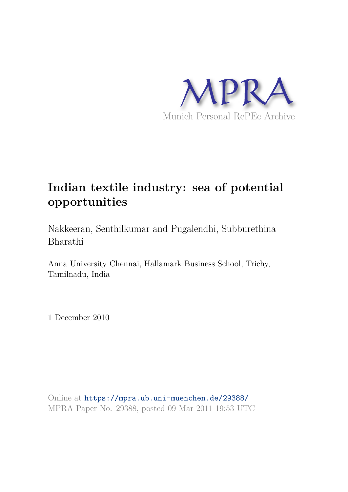

# **Indian textile industry: sea of potential opportunities**

Nakkeeran, Senthilkumar and Pugalendhi, Subburethina Bharathi

Anna University Chennai, Hallamark Business School, Trichy, Tamilnadu, India

1 December 2010

Online at https://mpra.ub.uni-muenchen.de/29388/ MPRA Paper No. 29388, posted 09 Mar 2011 19:53 UTC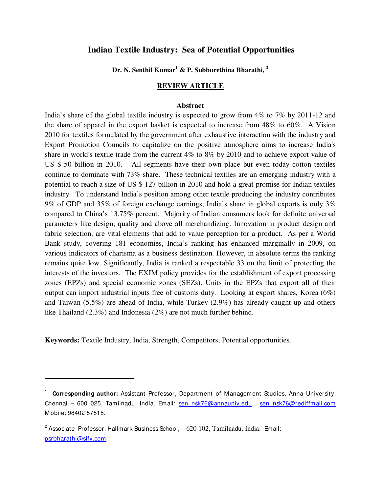# **Indian Textile Industry: Sea of Potential Opportunities**

**Dr. N. Senthil Kumar<sup>1</sup> & P. Subburethina Bharathi, <sup>2</sup>**

#### **REVIEW ARTICLE**

#### **Abstract**

India's share of the global textile industry is expected to grow from 4% to 7% by 2011-12 and the share of apparel in the export basket is expected to increase from 48% to 60%. A Vision 2010 for textiles formulated by the government after exhaustive interaction with the industry and Export Promotion Councils to capitalize on the positive atmosphere aims to increase India's share in world's textile trade from the current 4% to 8% by 2010 and to achieve export value of US \$ 50 billion in 2010. All segments have their own place but even today cotton textiles continue to dominate with 73% share. These technical textiles are an emerging industry with a potential to reach a size of US \$ 127 billion in 2010 and hold a great promise for Indian textiles industry. To understand India's position among other textile producing the industry contributes 9% of GDP and 35% of foreign exchange earnings, India's share in global exports is only 3% compared to China's 13.75% percent. Majority of Indian consumers look for definite universal parameters like design, quality and above all merchandizing. Innovation in product design and fabric selection, are vital elements that add to value perception for a product. As per a World Bank study, covering 181 economies, India's ranking has enhanced marginally in 2009, on various indicators of charisma as a business destination. However, in absolute terms the ranking remains quite low. Significantly, India is ranked a respectable 33 on the limit of protecting the interests of the investors. The EXIM policy provides for the establishment of export processing zones (EPZs) and special economic zones (SEZs). Units in the EPZs that export all of their output can import industrial inputs free of customs duty. Looking at export shares, Korea (6%) and Taiwan (5.5%) are ahead of India, while Turkey (2.9%) has already caught up and others like Thailand (2.3%) and Indonesia (2%) are not much further behind.

**Keywords:** Textile Industry, India, Strength, Competitors, Potential opportunities.

j

<sup>&</sup>lt;sup>1</sup> Corresponding author: Assistant Professor, Department of Management Studies, Anna University, Chennai – 600 025, Tamilnadu, India. Email: sen\_nsk76@annauniv.edu, sen\_nsk76@rediffmail.com M obile: 98402 57515.

 $^2$  Associate Professor, Hallmark Business School,  $-620$   $102$ , Tamilnadu, India. Email: psrbharathi@sify.com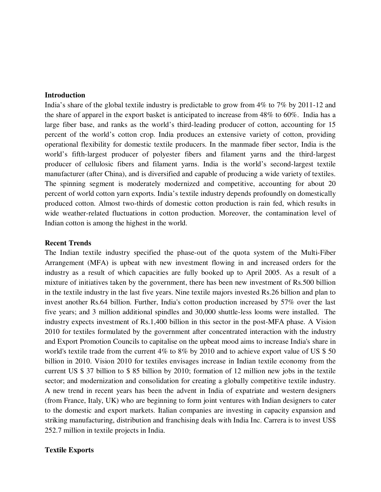#### **Introduction**

India's share of the global textile industry is predictable to grow from 4% to 7% by 2011-12 and the share of apparel in the export basket is anticipated to increase from 48% to 60%. India has a large fiber base, and ranks as the world's third-leading producer of cotton, accounting for 15 percent of the world's cotton crop. India produces an extensive variety of cotton, providing operational flexibility for domestic textile producers. In the manmade fiber sector, India is the world's fifth-largest producer of polyester fibers and filament yarns and the third-largest producer of cellulosic fibers and filament yarns. India is the world's second-largest textile manufacturer (after China), and is diversified and capable of producing a wide variety of textiles. The spinning segment is moderately modernized and competitive, accounting for about 20 percent of world cotton yarn exports. India's textile industry depends profoundly on domestically produced cotton. Almost two-thirds of domestic cotton production is rain fed, which results in wide weather-related fluctuations in cotton production. Moreover, the contamination level of Indian cotton is among the highest in the world.

#### **Recent Trends**

The Indian textile industry specified the phase-out of the quota system of the Multi-Fiber Arrangement (MFA) is upbeat with new investment flowing in and increased orders for the industry as a result of which capacities are fully booked up to April 2005. As a result of a mixture of initiatives taken by the government, there has been new investment of Rs.500 billion in the textile industry in the last five years. Nine textile majors invested Rs.26 billion and plan to invest another Rs.64 billion. Further, India's cotton production increased by 57% over the last five years; and 3 million additional spindles and 30,000 shuttle-less looms were installed. The industry expects investment of Rs.1,400 billion in this sector in the post-MFA phase. A Vision 2010 for textiles formulated by the government after concentrated interaction with the industry and Export Promotion Councils to capitalise on the upbeat mood aims to increase India's share in world's textile trade from the current 4% to 8% by 2010 and to achieve export value of US \$ 50 billion in 2010. Vision 2010 for textiles envisages increase in Indian textile economy from the current US \$ 37 billion to \$ 85 billion by 2010; formation of 12 million new jobs in the textile sector; and modernization and consolidation for creating a globally competitive textile industry. A new trend in recent years has been the advent in India of expatriate and western designers (from France, Italy, UK) who are beginning to form joint ventures with Indian designers to cater to the domestic and export markets. Italian companies are investing in capacity expansion and striking manufacturing, distribution and franchising deals with India Inc. Carrera is to invest US\$ 252.7 million in textile projects in India.

#### **Textile Exports**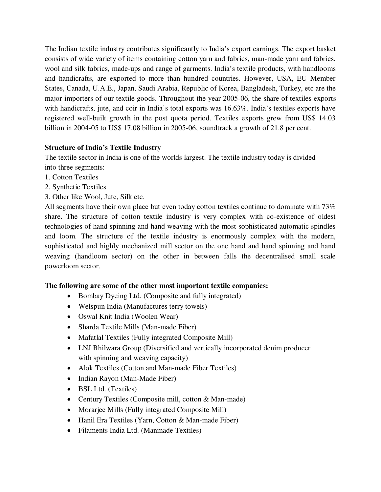The Indian textile industry contributes significantly to India's export earnings. The export basket consists of wide variety of items containing cotton yarn and fabrics, man-made yarn and fabrics, wool and silk fabrics, made-ups and range of garments. India's textile products, with handlooms and handicrafts, are exported to more than hundred countries. However, USA, EU Member States, Canada, U.A.E., Japan, Saudi Arabia, Republic of Korea, Bangladesh, Turkey, etc are the major importers of our textile goods. Throughout the year 2005-06, the share of textiles exports with handicrafts, jute, and coir in India's total exports was 16.63%. India's textiles exports have registered well-built growth in the post quota period. Textiles exports grew from US\$ 14.03 billion in 2004-05 to US\$ 17.08 billion in 2005-06, soundtrack a growth of 21.8 per cent.

# **Structure of India's Textile Industry**

The textile sector in India is one of the worlds largest. The textile industry today is divided into three segments:

- 1. Cotton Textiles
- 2. Synthetic Textiles
- 3. Other like Wool, Jute, Silk etc.

All segments have their own place but even today cotton textiles continue to dominate with 73% share. The structure of cotton textile industry is very complex with co-existence of oldest technologies of hand spinning and hand weaving with the most sophisticated automatic spindles and loom. The structure of the textile industry is enormously complex with the modern, sophisticated and highly mechanized mill sector on the one hand and hand spinning and hand weaving (handloom sector) on the other in between falls the decentralised small scale powerloom sector.

# **The following are some of the other most important textile companies:**

- Bombay Dyeing Ltd. (Composite and fully integrated)
- Welspun India (Manufactures terry towels)
- Oswal Knit India (Woolen Wear)
- Sharda Textile Mills (Man-made Fiber)
- Mafatlal Textiles (Fully integrated Composite Mill)
- LNJ Bhilwara Group (Diversified and vertically incorporated denim producer with spinning and weaving capacity)
- Alok Textiles (Cotton and Man-made Fiber Textiles)
- Indian Rayon (Man-Made Fiber)
- BSL Ltd. (Textiles)
- Century Textiles (Composite mill, cotton & Man-made)
- Morarjee Mills (Fully integrated Composite Mill)
- Hanil Era Textiles (Yarn, Cotton & Man-made Fiber)
- Filaments India Ltd. (Manmade Textiles)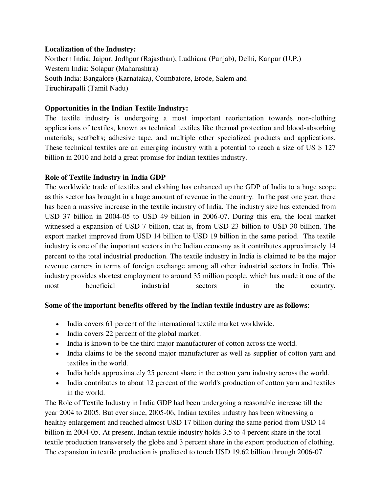#### **Localization of the Industry:**

Northern India: Jaipur, Jodhpur (Rajasthan), Ludhiana (Punjab), Delhi, Kanpur (U.P.) Western India: Solapur (Maharashtra) South India: Bangalore (Karnataka), Coimbatore, Erode, Salem and Tiruchirapalli (Tamil Nadu)

# **Opportunities in the Indian Textile Industry:**

The textile industry is undergoing a most important reorientation towards non-clothing applications of textiles, known as technical textiles like thermal protection and blood-absorbing materials; seatbelts; adhesive tape, and multiple other specialized products and applications. These technical textiles are an emerging industry with a potential to reach a size of US \$ 127 billion in 2010 and hold a great promise for Indian textiles industry.

# **Role of Textile Industry in India GDP**

The worldwide trade of textiles and clothing has enhanced up the GDP of India to a huge scope as this sector has brought in a huge amount of revenue in the country. In the past one year, there has been a massive increase in the textile industry of India. The industry size has extended from USD 37 billion in 2004-05 to USD 49 billion in 2006-07. During this era, the local market witnessed a expansion of USD 7 billion, that is, from USD 23 billion to USD 30 billion. The export market improved from USD 14 billion to USD 19 billion in the same period. The textile industry is one of the important sectors in the Indian economy as it contributes approximately 14 percent to the total industrial production. The textile industry in India is claimed to be the major revenue earners in terms of foreign exchange among all other industrial sectors in India. This industry provides shortest employment to around 35 million people, which has made it one of the most beneficial industrial sectors in the country.

# **Some of the important benefits offered by the Indian textile industry are as follows**:

- India covers 61 percent of the international textile market worldwide.
- India covers 22 percent of the global market.
- India is known to be the third major manufacturer of cotton across the world.
- India claims to be the second major manufacturer as well as supplier of cotton yarn and textiles in the world.
- India holds approximately 25 percent share in the cotton yarn industry across the world.
- India contributes to about 12 percent of the world's production of cotton yarn and textiles in the world.

The Role of Textile Industry in India GDP had been undergoing a reasonable increase till the year 2004 to 2005. But ever since, 2005-06, Indian textiles industry has been witnessing a healthy enlargement and reached almost USD 17 billion during the same period from USD 14 billion in 2004-05. At present, Indian textile industry holds 3.5 to 4 percent share in the total textile production transversely the globe and 3 percent share in the export production of clothing. The expansion in textile production is predicted to touch USD 19.62 billion through 2006-07.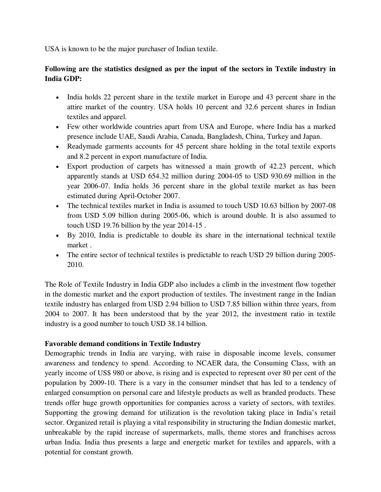USA is known to be the major purchaser of Indian textile.

# **Following are the statistics designed as per the input of the sectors in Textile industry in India GDP:**

- India holds 22 percent share in the textile market in Europe and 43 percent share in the attire market of the country. USA holds 10 percent and 32.6 percent shares in Indian textiles and apparel.
- Few other worldwide countries apart from USA and Europe, where India has a marked presence include UAE, Saudi Arabia, Canada, Bangladesh, China, Turkey and Japan.
- Readymade garments accounts for 45 percent share holding in the total textile exports and 8.2 percent in export manufacture of India.
- Export production of carpets has witnessed a main growth of 42.23 percent, which apparently stands at USD 654.32 million during 2004-05 to USD 930.69 million in the year 2006-07. India holds 36 percent share in the global textile market as has been estimated during April-October 2007.
- The technical textiles market in India is assumed to touch USD 10.63 billion by 2007-08 from USD 5.09 billion during 2005-06, which is around double. It is also assumed to touch USD 19.76 billion by the year 2014-15 .
- By 2010, India is predictable to double its share in the international technical textile market .
- The entire sector of technical textiles is predictable to reach USD 29 billion during 2005-2010.

The Role of Textile Industry in India GDP also includes a climb in the investment flow together in the domestic market and the export production of textiles. The investment range in the Indian textile industry has enlarged from USD 2.94 billion to USD 7.85 billion within three years, from 2004 to 2007. It has been understood that by the year 2012, the investment ratio in textile industry is a good number to touch USD 38.14 billion.

# **Favorable demand conditions in Textile Industry**

Demographic trends in India are varying, with raise in disposable income levels, consumer awareness and tendency to spend. According to NCAER data, the Consuming Class, with an yearly income of US\$ 980 or above, is rising and is expected to represent over 80 per cent of the population by 2009-10. There is a vary in the consumer mindset that has led to a tendency of enlarged consumption on personal care and lifestyle products as well as branded products. These trends offer huge growth opportunities for companies across a variety of sectors, with textiles. Supporting the growing demand for utilization is the revolution taking place in India's retail sector. Organized retail is playing a vital responsibility in structuring the Indian domestic market, unbreakable by the rapid increase of supermarkets, malls, theme stores and franchises across urban India. India thus presents a large and energetic market for textiles and apparels, with a potential for constant growth.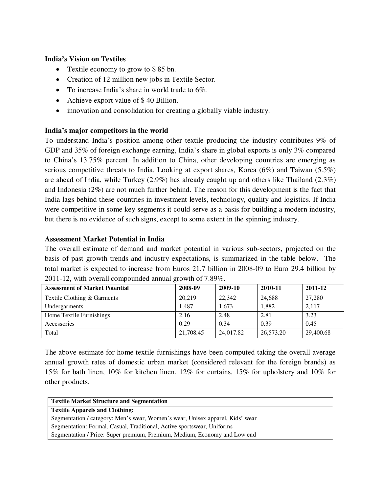#### **India's Vision on Textiles**

- Textile economy to grow to \$ 85 bn.
- Creation of 12 million new jobs in Textile Sector.
- $\bullet$  To increase India's share in world trade to 6%.
- Achieve export value of \$40 Billion.
- innovation and consolidation for creating a globally viable industry.

#### **India's major competitors in the world**

To understand India's position among other textile producing the industry contributes 9% of GDP and 35% of foreign exchange earning, India's share in global exports is only 3% compared to China's 13.75% percent. In addition to China, other developing countries are emerging as serious competitive threats to India. Looking at export shares, Korea (6%) and Taiwan (5.5%) are ahead of India, while Turkey (2.9%) has already caught up and others like Thailand (2.3%) and Indonesia (2%) are not much further behind. The reason for this development is the fact that India lags behind these countries in investment levels, technology, quality and logistics. If India were competitive in some key segments it could serve as a basis for building a modern industry, but there is no evidence of such signs, except to some extent in the spinning industry.

#### **Assessment Market Potential in India**

The overall estimate of demand and market potential in various sub-sectors, projected on the basis of past growth trends and industry expectations, is summarized in the table below. The total market is expected to increase from Euros 21.7 billion in 2008-09 to Euro 29.4 billion by 2011-12, with overall compounded annual growth of 7.89%.

| <b>Assessment of Market Potential</b> | 2008-09   | 2009-10   | 2010-11   | 2011-12   |
|---------------------------------------|-----------|-----------|-----------|-----------|
| Textile Clothing & Garments           | 20.219    | 22,342    | 24,688    | 27,280    |
| Undergarments                         | 1.487     | 1.673     | 1,882     | 2,117     |
| Home Textile Furnishings              | 2.16      | 2.48      | 2.81      | 3.23      |
| Accessories                           | 0.29      | 0.34      | 0.39      | 0.45      |
| Total                                 | 21,708.45 | 24,017.82 | 26,573.20 | 29,400.68 |

The above estimate for home textile furnishings have been computed taking the overall average annual growth rates of domestic urban market (considered relevant for the foreign brands) as 15% for bath linen, 10% for kitchen linen, 12% for curtains, 15% for upholstery and 10% for other products.

|  |  | <b>Textile Market Structure and Segmentation</b> |
|--|--|--------------------------------------------------|
|--|--|--------------------------------------------------|

**Textile Apparels and Clothing:** 

Segmentation / category: Men's wear, Women's wear, Unisex apparel, Kids' wear Segmentation: Formal, Casual, Traditional, Active sportswear, Uniforms Segmentation / Price: Super premium, Premium, Medium, Economy and Low end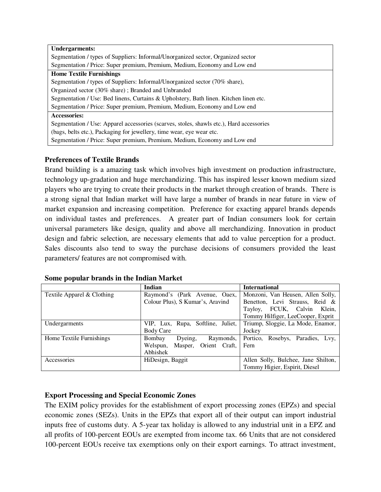| <b>Undergarments:</b>                                                                    |  |  |  |
|------------------------------------------------------------------------------------------|--|--|--|
| Segmentation / types of Suppliers: Informal/Unorganized sector, Organized sector         |  |  |  |
| Segmentation / Price: Super premium, Premium, Medium, Economy and Low end                |  |  |  |
| <b>Home Textile Furnishings</b>                                                          |  |  |  |
| Segmentation / types of Suppliers: Informal/Unorganized sector (70% share),              |  |  |  |
| Organized sector (30% share); Branded and Unbranded                                      |  |  |  |
| Segmentation / Use: Bed linens, Curtains & Upholstery, Bath linen. Kitchen linen etc.    |  |  |  |
| Segmentation / Price: Super premium, Premium, Medium, Economy and Low end                |  |  |  |
| <b>Accessories:</b>                                                                      |  |  |  |
| Segmentation / Use: Apparel accessories (scarves, stoles, shawls etc.), Hard accessories |  |  |  |
| (bags, belts etc.), Packaging for jewellery, time wear, eye wear etc.                    |  |  |  |
| Segmentation / Price: Super premium, Premium, Medium, Economy and Low end                |  |  |  |

# **Preferences of Textile Brands**

Brand building is a amazing task which involves high investment on production infrastructure, technology up-gradation and huge merchandizing. This has inspired lesser known medium sized players who are trying to create their products in the market through creation of brands. There is a strong signal that Indian market will have large a number of brands in near future in view of market expansion and increasing competition. Preference for exacting apparel brands depends on individual tastes and preferences. A greater part of Indian consumers look for certain universal parameters like design, quality and above all merchandizing. Innovation in product design and fabric selection, are necessary elements that add to value perception for a product. Sales discounts also tend to sway the purchase decisions of consumers provided the least parameters/ features are not compromised with.

|                            | Indian                            | <b>International</b>                |
|----------------------------|-----------------------------------|-------------------------------------|
| Textile Apparel & Clothing | Raymond's (Park Avenue, Oaex,     | Monzoni, Van Heusen, Allen Solly,   |
|                            | Colour Plus), S Kumar's, Aravind  | Benetton, Levi Strauss, Reid &      |
|                            |                                   | Tayloy, FCUK, Calvin Klein,         |
|                            |                                   | Tommy Hilfiger, LeeCooper, Exprit   |
| Undergarments              | VIP, Lux, Rupa, Softline, Juliet, | Triump, Sloggie, La Mode, Enamor,   |
|                            | Body Care                         | Jockey                              |
| Home Textile Furnishings   | Dyeing,<br>Bombay<br>Raymonds,    | Portico, Rosebys, Paradies, Lvy,    |
|                            | Masper, Orient Craft,<br>Welspun, | Fern                                |
|                            | Abhishek                          |                                     |
| Accessories                | HiDesign, Baggit                  | Allen Solly, Bulchee, Jane Shilton, |
|                            |                                   | Tommy Higier, Espirit, Diesel       |

#### **Some popular brands in the Indian Market**

# **Export Processing and Special Economic Zones**

The EXIM policy provides for the establishment of export processing zones (EPZs) and special economic zones (SEZs). Units in the EPZs that export all of their output can import industrial inputs free of customs duty. A 5-year tax holiday is allowed to any industrial unit in a EPZ and all profits of 100-percent EOUs are exempted from income tax. 66 Units that are not considered 100-percent EOUs receive tax exemptions only on their export earnings. To attract investment,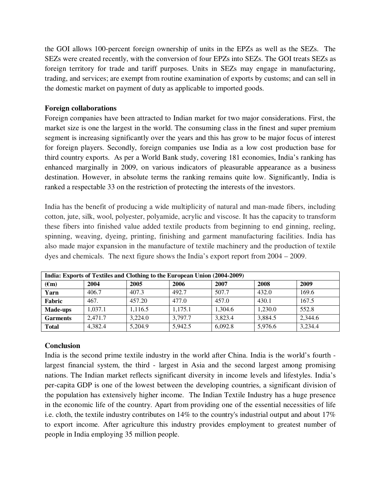the GOI allows 100-percent foreign ownership of units in the EPZs as well as the SEZs. The SEZs were created recently, with the conversion of four EPZs into SEZs. The GOI treats SEZs as foreign territory for trade and tariff purposes. Units in SEZs may engage in manufacturing, trading, and services; are exempt from routine examination of exports by customs; and can sell in the domestic market on payment of duty as applicable to imported goods.

#### **Foreign collaborations**

Foreign companies have been attracted to Indian market for two major considerations. First, the market size is one the largest in the world. The consuming class in the finest and super premium segment is increasing significantly over the years and this has grow to be major focus of interest for foreign players. Secondly, foreign companies use India as a low cost production base for third country exports. As per a World Bank study, covering 181 economies, India's ranking has enhanced marginally in 2009, on various indicators of pleasurable appearance as a business destination. However, in absolute terms the ranking remains quite low. Significantly, India is ranked a respectable 33 on the restriction of protecting the interests of the investors.

India has the benefit of producing a wide multiplicity of natural and man-made fibers, including cotton, jute, silk, wool, polyester, polyamide, acrylic and viscose. It has the capacity to transform these fibers into finished value added textile products from beginning to end ginning, reeling, spinning, weaving, dyeing, printing, finishing and garment manufacturing facilities. India has also made major expansion in the manufacture of textile machinery and the production of textile dyes and chemicals. The next figure shows the India's export report from 2004 – 2009.

| India: Exports of Textiles and Clothing to the European Union (2004-2009) |         |         |         |         |         |         |
|---------------------------------------------------------------------------|---------|---------|---------|---------|---------|---------|
| $(\epsilon m)$                                                            | 2004    | 2005    | 2006    | 2007    | 2008    | 2009    |
| Yarn                                                                      | 406.7   | 407.3   | 492.7   | 507.7   | 432.0   | 169.6   |
| Fabric                                                                    | 467.    | 457.20  | 477.0   | 457.0   | 430.1   | 167.5   |
| Made-ups                                                                  | 1,037.1 | 1,116.5 | 1,175.1 | 1,304.6 | 1,230.0 | 552.8   |
| <b>Garments</b>                                                           | 2.471.7 | 3,224.0 | 3,797.7 | 3,823.4 | 3,884.5 | 2,344.6 |
| <b>Total</b>                                                              | 4,382.4 | 5,204.9 | 5,942.5 | 6,092.8 | 5,976.6 | 3,234.4 |

# **Conclusion**

India is the second prime textile industry in the world after China. India is the world's fourth largest financial system, the third - largest in Asia and the second largest among promising nations. The Indian market reflects significant diversity in income levels and lifestyles. India's per-capita GDP is one of the lowest between the developing countries, a significant division of the population has extensively higher income. The Indian Textile Industry has a huge presence in the economic life of the country. Apart from providing one of the essential necessities of life i.e. cloth, the textile industry contributes on 14% to the country's industrial output and about 17% to export income. After agriculture this industry provides employment to greatest number of people in India employing 35 million people.